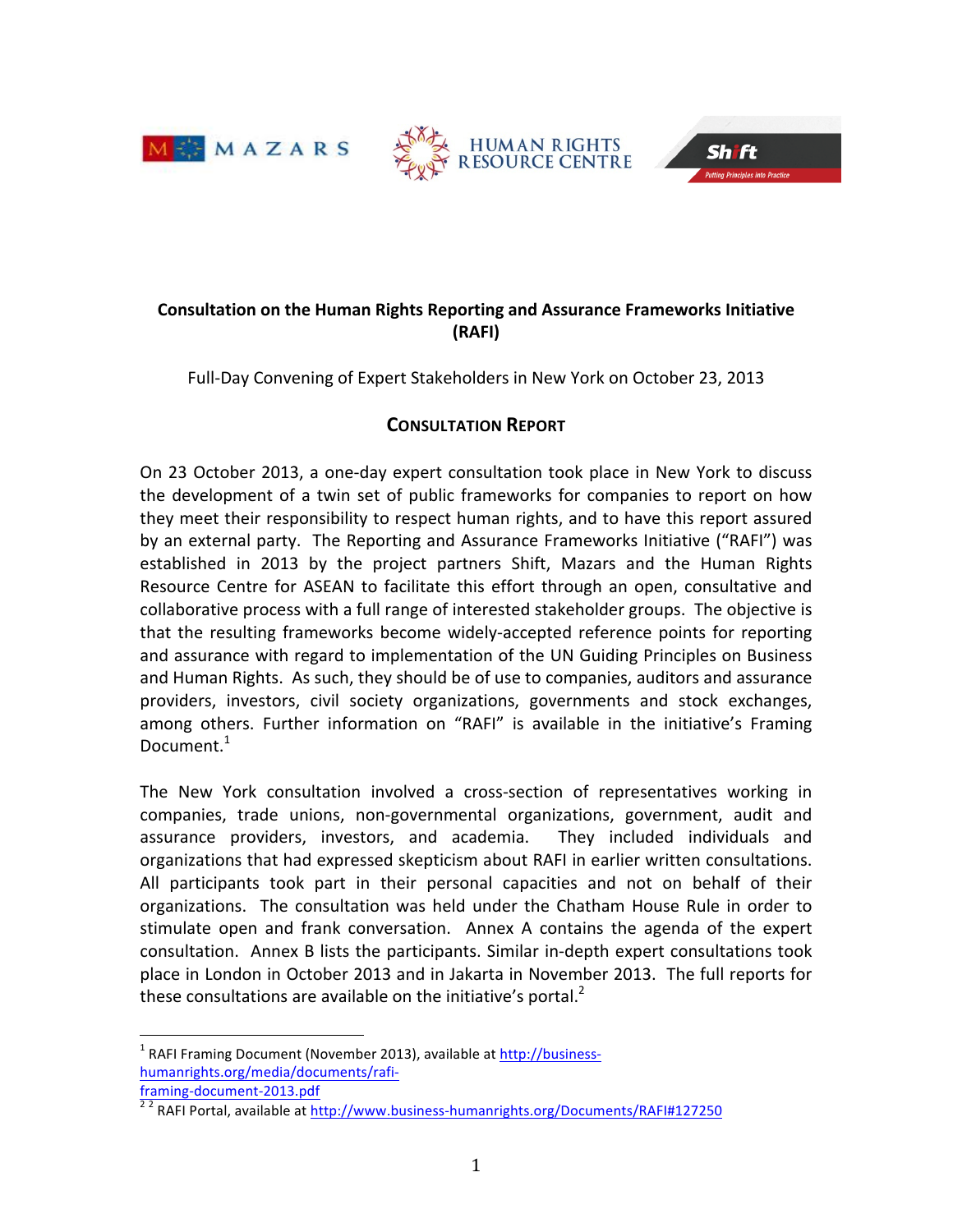





# **Consultation on the Human Rights Reporting and Assurance Frameworks Initiative (RAFI)**

Full-Day Convening of Expert Stakeholders in New York on October 23, 2013

# **CONSULTATION REPORT**

On 23 October 2013, a one-day expert consultation took place in New York to discuss the development of a twin set of public frameworks for companies to report on how they meet their responsibility to respect human rights, and to have this report assured by an external party. The Reporting and Assurance Frameworks Initiative ("RAFI") was established in 2013 by the project partners Shift, Mazars and the Human Rights Resource Centre for ASEAN to facilitate this effort through an open, consultative and collaborative process with a full range of interested stakeholder groups. The objective is that the resulting frameworks become widely-accepted reference points for reporting and assurance with regard to implementation of the UN Guiding Principles on Business and Human Rights. As such, they should be of use to companies, auditors and assurance providers, investors, civil society organizations, governments and stock exchanges, among others. Further information on "RAFI" is available in the initiative's Framing Document.<sup>1</sup>

The New York consultation involved a cross-section of representatives working in companies, trade unions, non-governmental organizations, government, audit and assurance providers, investors, and academia. They included individuals and organizations that had expressed skepticism about RAFI in earlier written consultations. All participants took part in their personal capacities and not on behalf of their organizations. The consultation was held under the Chatham House Rule in order to stimulate open and frank conversation. Annex A contains the agenda of the expert consultation. Annex B lists the participants. Similar in-depth expert consultations took place in London in October 2013 and in Jakarta in November 2013. The full reports for these consultations are available on the initiative's portal. $<sup>2</sup>$ </sup>

 $1$  RAFI Framing Document (November 2013), available at http://businesshumanrights.org/media/documents/rafi-

framing-document-2013.pdf<br><sup>22</sup> RAFI Portal, available at http://www.business-humanrights.org/Documents/RAFI#127250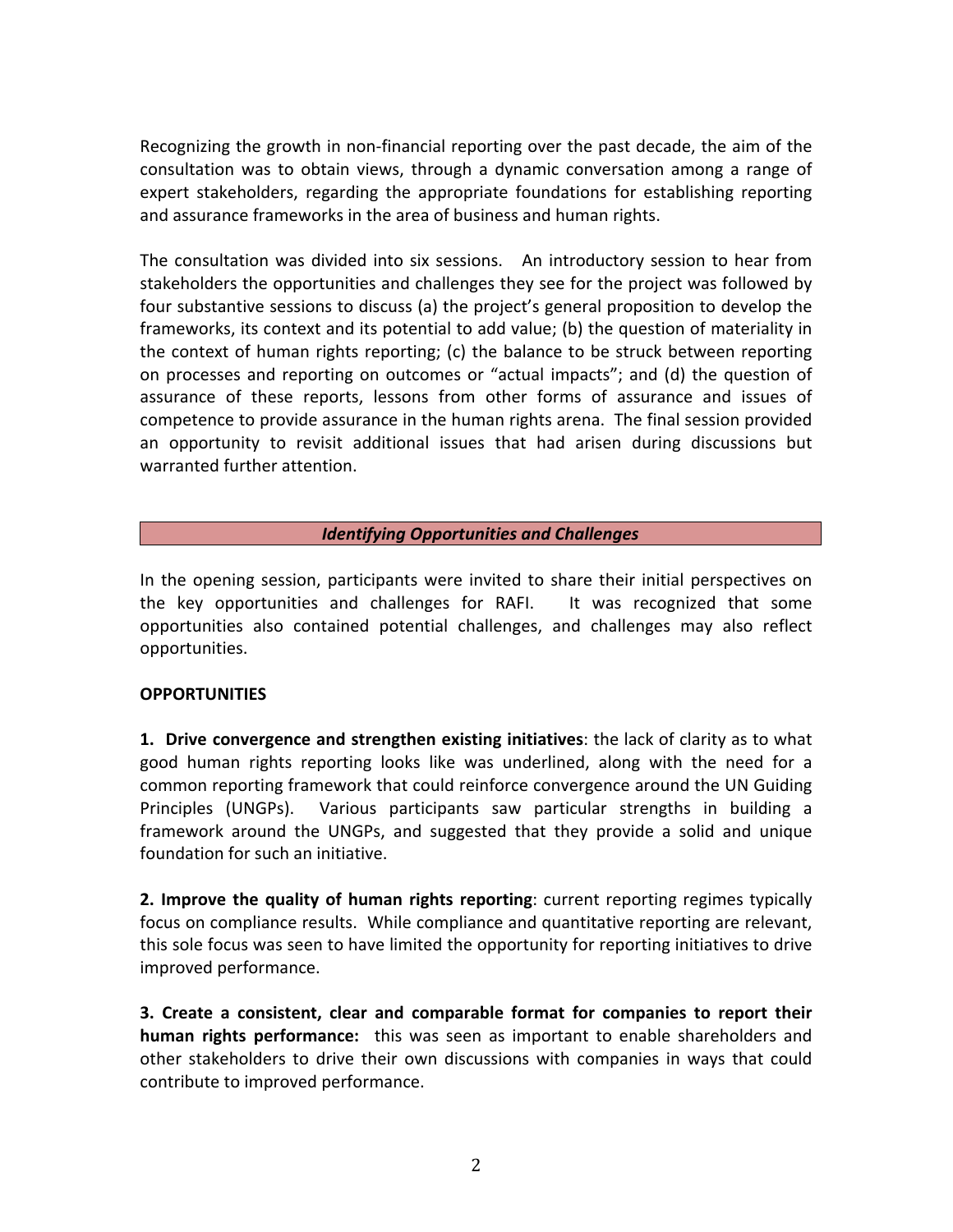Recognizing the growth in non-financial reporting over the past decade, the aim of the consultation was to obtain views, through a dynamic conversation among a range of expert stakeholders, regarding the appropriate foundations for establishing reporting and assurance frameworks in the area of business and human rights.

The consultation was divided into six sessions. An introductory session to hear from stakeholders the opportunities and challenges they see for the project was followed by four substantive sessions to discuss (a) the project's general proposition to develop the frameworks, its context and its potential to add value; (b) the question of materiality in the context of human rights reporting; (c) the balance to be struck between reporting on processes and reporting on outcomes or "actual impacts"; and (d) the question of assurance of these reports, lessons from other forms of assurance and issues of competence to provide assurance in the human rights arena. The final session provided an opportunity to revisit additional issues that had arisen during discussions but warranted further attention.

### **Identifying Opportunities and Challenges**

In the opening session, participants were invited to share their initial perspectives on the key opportunities and challenges for RAFI. It was recognized that some opportunities also contained potential challenges, and challenges may also reflect opportunities. 

### **OPPORTUNITIES**

**1.** Drive convergence and strengthen existing initiatives: the lack of clarity as to what good human rights reporting looks like was underlined, along with the need for a common reporting framework that could reinforce convergence around the UN Guiding Principles (UNGPs). Various participants saw particular strengths in building a framework around the UNGPs, and suggested that they provide a solid and unique foundation for such an initiative.

**2. Improve the quality of human rights reporting:** current reporting regimes typically focus on compliance results. While compliance and quantitative reporting are relevant, this sole focus was seen to have limited the opportunity for reporting initiatives to drive improved performance.

**3.** Create a consistent, clear and comparable format for companies to report their **human rights performance:** this was seen as important to enable shareholders and other stakeholders to drive their own discussions with companies in ways that could contribute to improved performance.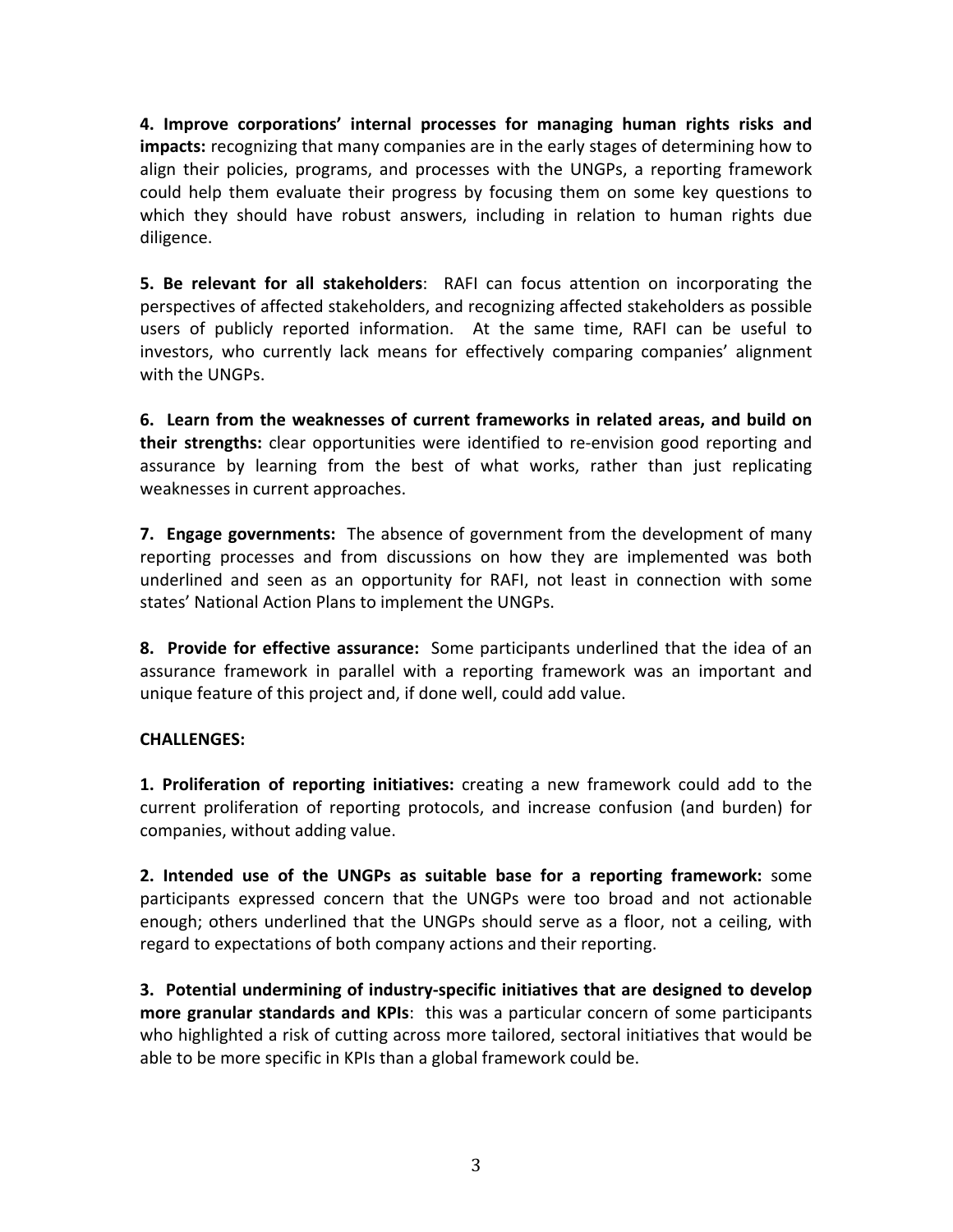**4. Improve corporations' internal processes for managing human rights risks and impacts:** recognizing that many companies are in the early stages of determining how to align their policies, programs, and processes with the UNGPs, a reporting framework could help them evaluate their progress by focusing them on some key questions to which they should have robust answers, including in relation to human rights due diligence. 

**5. Be relevant for all stakeholders**: RAFI can focus attention on incorporating the perspectives of affected stakeholders, and recognizing affected stakeholders as possible users of publicly reported information. At the same time, RAFI can be useful to investors, who currently lack means for effectively comparing companies' alignment with the UNGPs.

**6.** Learn from the weaknesses of current frameworks in related areas, and build on **their strengths:** clear opportunities were identified to re-envision good reporting and assurance by learning from the best of what works, rather than just replicating weaknesses in current approaches.

**7. Engage governments:** The absence of government from the development of many reporting processes and from discussions on how they are implemented was both underlined and seen as an opportunity for RAFI, not least in connection with some states' National Action Plans to implement the UNGPs.

**8.** Provide for effective assurance: Some participants underlined that the idea of an assurance framework in parallel with a reporting framework was an important and unique feature of this project and, if done well, could add value.

## **CHALLENGES:**

**1. Proliferation of reporting initiatives:** creating a new framework could add to the current proliferation of reporting protocols, and increase confusion (and burden) for companies, without adding value.

**2.** Intended use of the UNGPs as suitable base for a reporting framework: some participants expressed concern that the UNGPs were too broad and not actionable enough; others underlined that the UNGPs should serve as a floor, not a ceiling, with regard to expectations of both company actions and their reporting.

3. Potential undermining of industry-specific initiatives that are designed to develop **more granular standards and KPIs**: this was a particular concern of some participants who highlighted a risk of cutting across more tailored, sectoral initiatives that would be able to be more specific in KPIs than a global framework could be.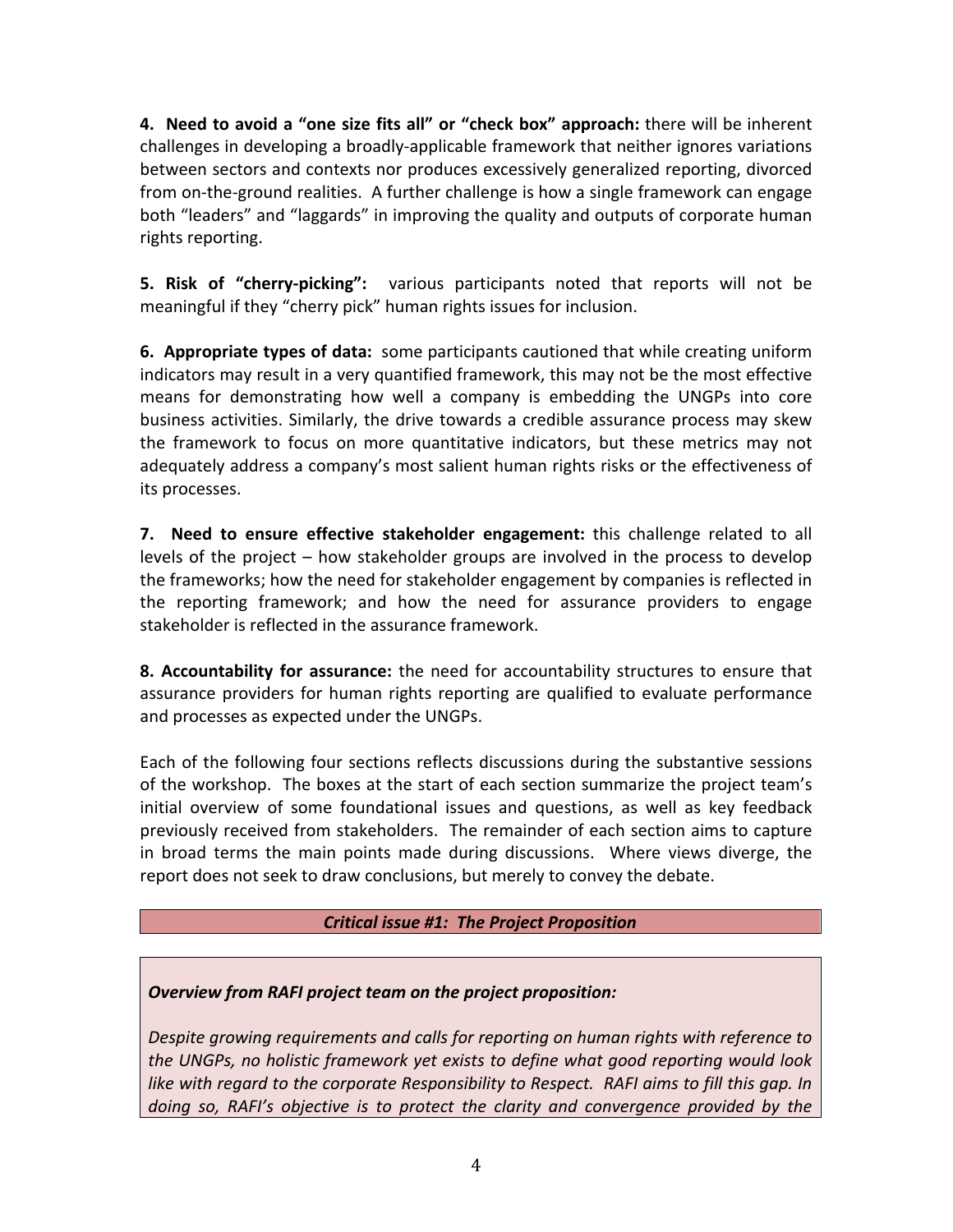**4.** Need to avoid a "one size fits all" or "check box" approach: there will be inherent challenges in developing a broadly-applicable framework that neither ignores variations between sectors and contexts nor produces excessively generalized reporting, divorced from on-the-ground realities. A further challenge is how a single framework can engage both "leaders" and "laggards" in improving the quality and outputs of corporate human rights reporting.

**5. Risk of "cherry-picking":** various participants noted that reports will not be meaningful if they "cherry pick" human rights issues for inclusion.

**6.** Appropriate types of data: some participants cautioned that while creating uniform indicators may result in a very quantified framework, this may not be the most effective means for demonstrating how well a company is embedding the UNGPs into core business activities. Similarly, the drive towards a credible assurance process may skew the framework to focus on more quantitative indicators, but these metrics may not adequately address a company's most salient human rights risks or the effectiveness of its processes.

**7.** Need to ensure effective stakeholder engagement: this challenge related to all levels of the project  $-$  how stakeholder groups are involved in the process to develop the frameworks; how the need for stakeholder engagement by companies is reflected in the reporting framework; and how the need for assurance providers to engage stakeholder is reflected in the assurance framework.

**8. Accountability for assurance:** the need for accountability structures to ensure that assurance providers for human rights reporting are qualified to evaluate performance and processes as expected under the UNGPs.

Each of the following four sections reflects discussions during the substantive sessions of the workshop. The boxes at the start of each section summarize the project team's initial overview of some foundational issues and questions, as well as key feedback previously received from stakeholders. The remainder of each section aims to capture in broad terms the main points made during discussions. Where views diverge, the report does not seek to draw conclusions, but merely to convey the debate.

## *Critical issue #1: The Project Proposition*

# *Overview from RAFI project team on the project proposition:*

*Despite growing requirements and calls for reporting on human rights with reference to* the UNGPs, no holistic framework yet exists to define what good reporting would look *like* with regard to the corporate Responsibility to Respect. RAFI aims to fill this gap. In doing so, RAFI's objective is to protect the clarity and convergence provided by the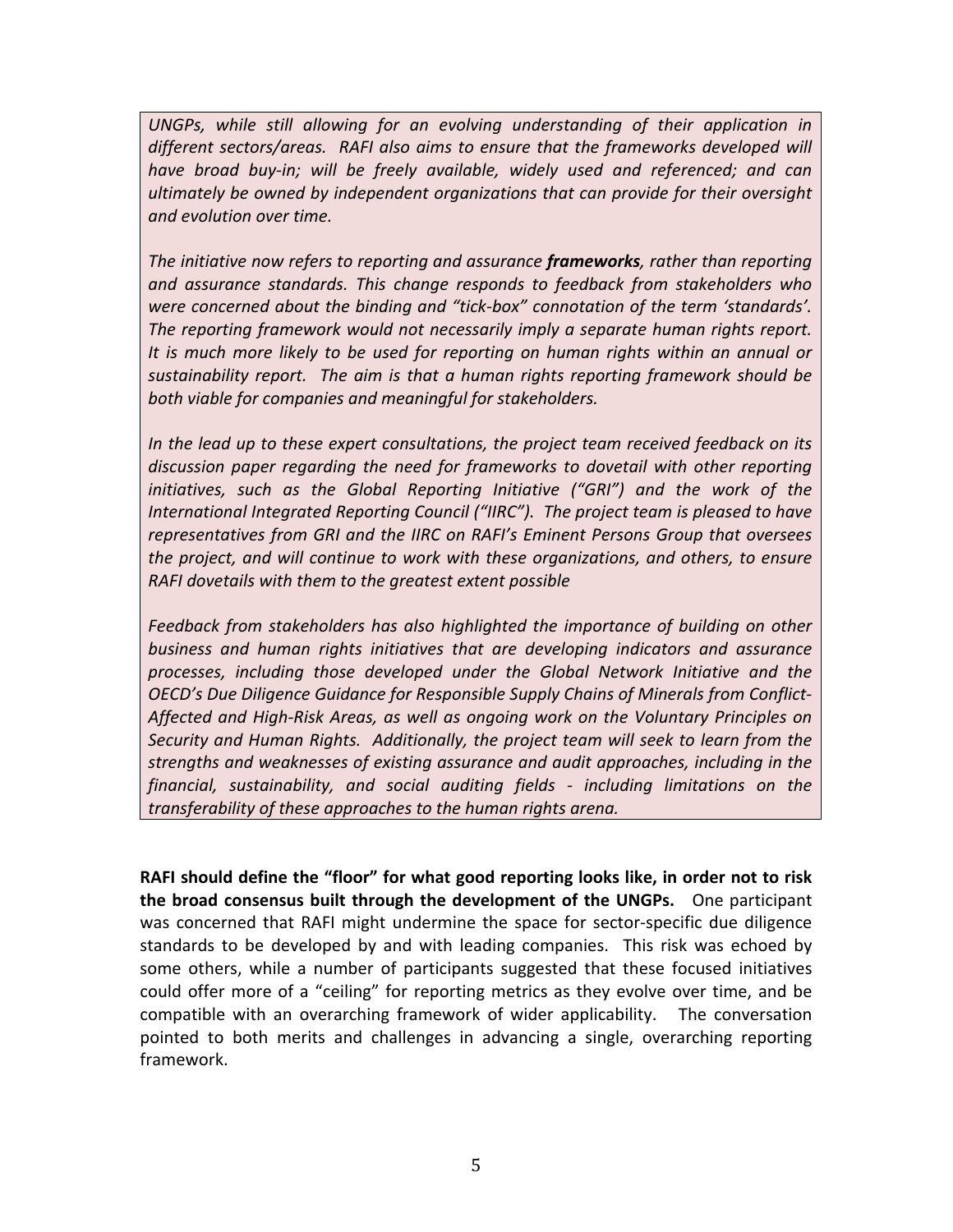UNGPs, while still allowing for an evolving understanding of their application in different sectors/areas. RAFI also aims to ensure that the frameworks developed will have broad buy-in; will be freely available, widely used and referenced; and can *ultimately be owned by independent organizations that can provide for their oversight and evolution over time.* 

The initiative now refers to reporting and assurance **frameworks**, rather than reporting *and assurance standards. This change responds to feedback from stakeholders who*  were concerned about the binding and "tick-box" connotation of the term 'standards'. *The* reporting framework would not necessarily imply a separate human rights report. It is much more likely to be used for reporting on human rights within an annual or sustainability report. The aim is that a human rights reporting framework should be both viable for companies and meaningful for stakeholders.

In the lead up to these expert consultations, the project team received feedback on its discussion paper regarding the need for frameworks to dovetail with other reporting *initiatives, such as the Global Reporting Initiative* ("GRI") and the work of the *International Integrated Reporting Council ("IIRC"). The project team is pleased to have representatives from GRI and the IIRC on RAFI's Eminent Persons Group that oversees the project, and will continue to work with these organizations, and others, to ensure RAFI* dovetails with them to the greatest extent possible

Feedback from stakeholders has also highlighted the *importance* of building on other business and human rights initiatives that are developing indicators and assurance processes, including those developed under the Global Network Initiative and the **OECD's Due Diligence Guidance for Responsible Supply Chains of Minerals from Conflict-**Affected and High-Risk Areas, as well as ongoing work on the Voluntary Principles on *Security* and Human Rights. Additionally, the project team will seek to learn from the *strengths and weaknesses of existing assurance and audit approaches, including in the financial, sustainability, and social auditing fields - including limitations on the transferability* of these approaches to the human rights arena.

RAFI should define the "floor" for what good reporting looks like, in order not to risk **the broad consensus built through the development of the UNGPs.** One participant was concerned that RAFI might undermine the space for sector-specific due diligence standards to be developed by and with leading companies. This risk was echoed by some others, while a number of participants suggested that these focused initiatives could offer more of a "ceiling" for reporting metrics as they evolve over time, and be compatible with an overarching framework of wider applicability. The conversation pointed to both merits and challenges in advancing a single, overarching reporting framework.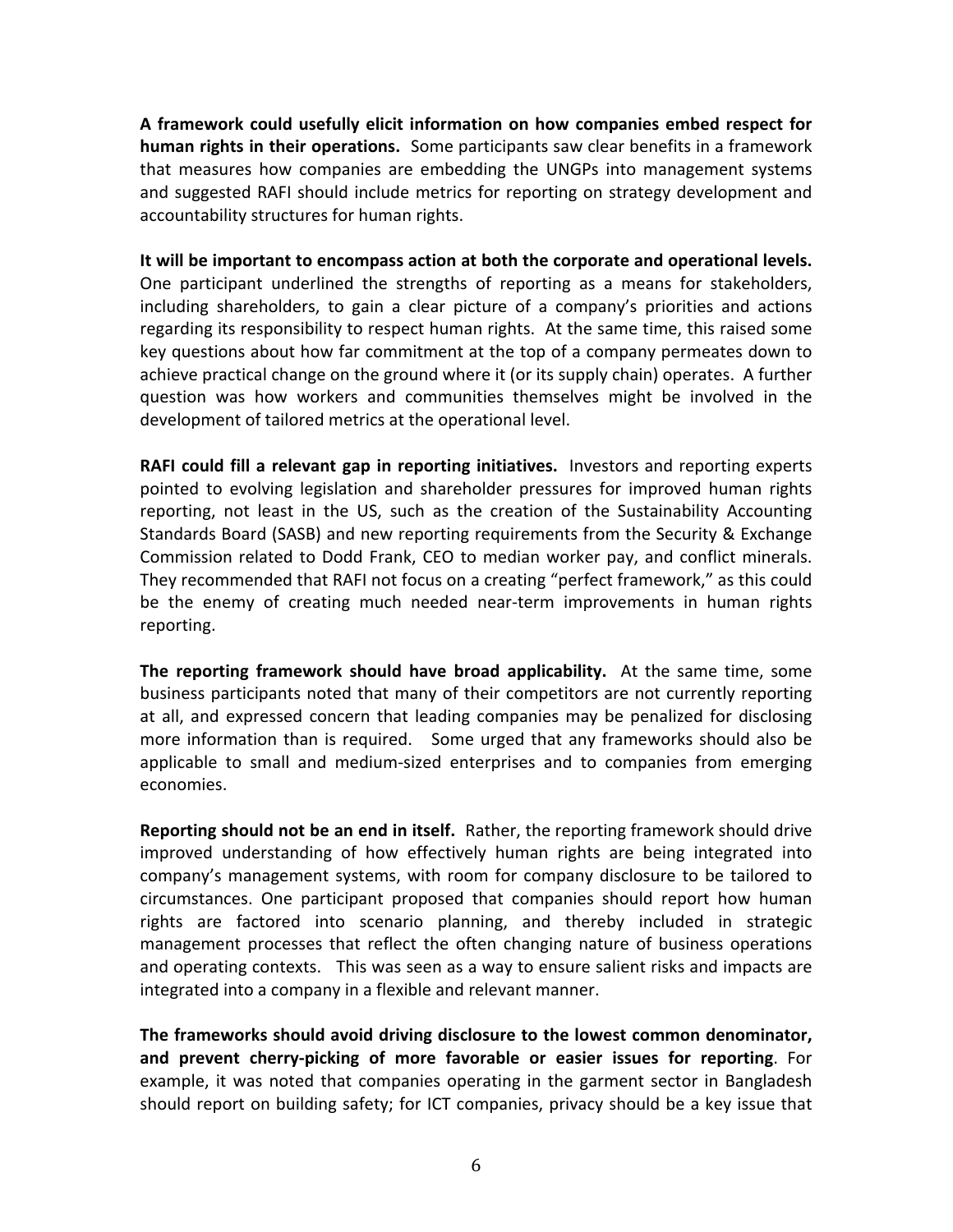A framework could usefully elicit information on how companies embed respect for **human rights in their operations.** Some participants saw clear benefits in a framework that measures how companies are embedding the UNGPs into management systems and suggested RAFI should include metrics for reporting on strategy development and accountability structures for human rights.

It will be important to encompass action at both the corporate and operational levels. One participant underlined the strengths of reporting as a means for stakeholders, including shareholders, to gain a clear picture of a company's priorities and actions regarding its responsibility to respect human rights. At the same time, this raised some key questions about how far commitment at the top of a company permeates down to achieve practical change on the ground where it (or its supply chain) operates. A further question was how workers and communities themselves might be involved in the development of tailored metrics at the operational level.

**RAFI could fill a relevant gap in reporting initiatives.** Investors and reporting experts pointed to evolving legislation and shareholder pressures for improved human rights reporting, not least in the US, such as the creation of the Sustainability Accounting Standards Board (SASB) and new reporting requirements from the Security & Exchange Commission related to Dodd Frank, CEO to median worker pay, and conflict minerals. They recommended that RAFI not focus on a creating "perfect framework," as this could be the enemy of creating much needed near-term improvements in human rights reporting. 

The reporting framework should have broad applicability. At the same time, some business participants noted that many of their competitors are not currently reporting at all, and expressed concern that leading companies may be penalized for disclosing more information than is required. Some urged that any frameworks should also be applicable to small and medium-sized enterprises and to companies from emerging economies. 

**Reporting should not be an end in itself.** Rather, the reporting framework should drive improved understanding of how effectively human rights are being integrated into company's management systems, with room for company disclosure to be tailored to circumstances. One participant proposed that companies should report how human rights are factored into scenario planning, and thereby included in strategic management processes that reflect the often changing nature of business operations and operating contexts. This was seen as a way to ensure salient risks and impacts are integrated into a company in a flexible and relevant manner.

The frameworks should avoid driving disclosure to the lowest common denominator, **and prevent cherry-picking of more favorable or easier issues for reporting.** For example, it was noted that companies operating in the garment sector in Bangladesh should report on building safety; for ICT companies, privacy should be a key issue that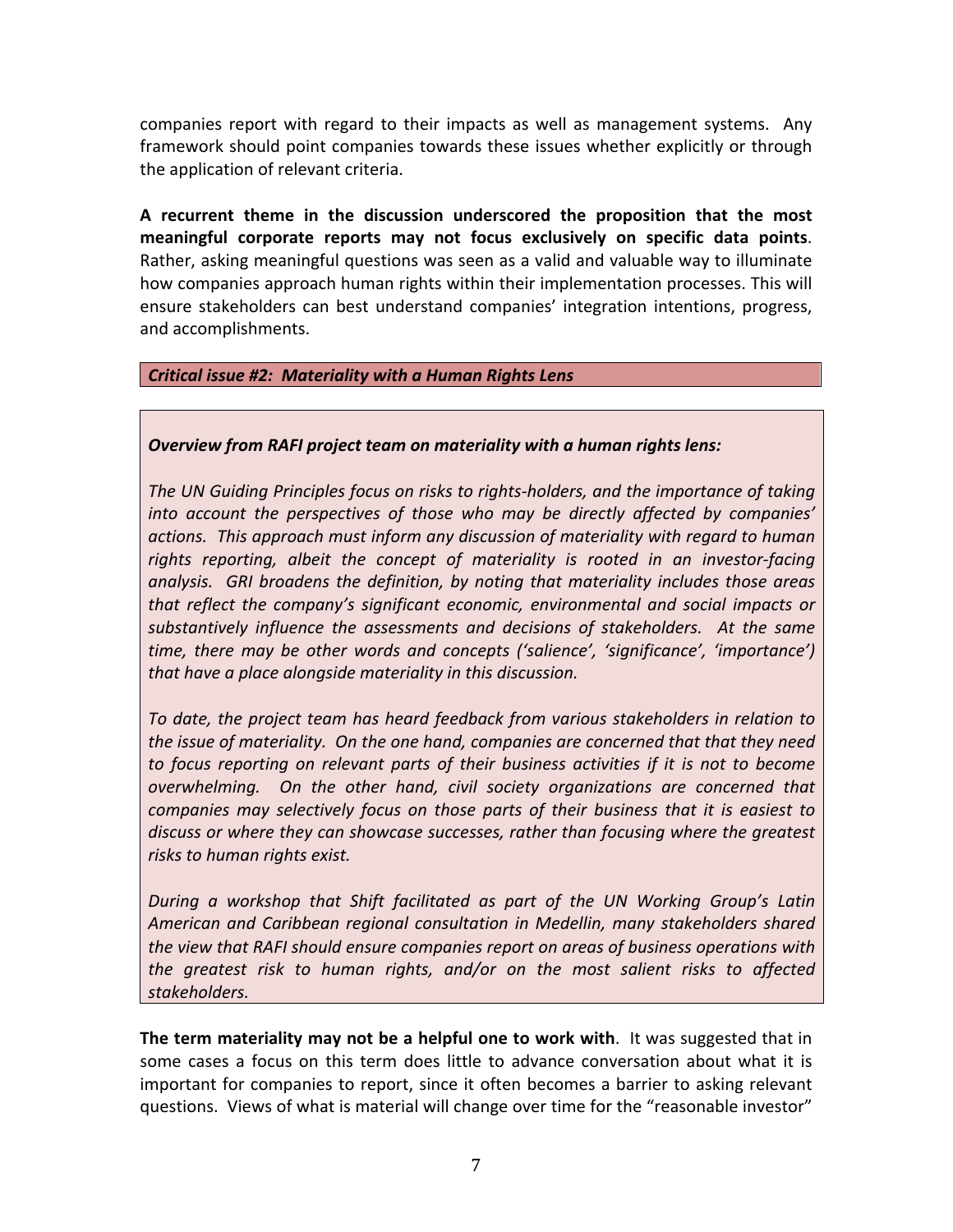companies report with regard to their impacts as well as management systems. Any framework should point companies towards these issues whether explicitly or through the application of relevant criteria.

A recurrent theme in the discussion underscored the proposition that the most meaningful corporate reports may not focus exclusively on specific data points. Rather, asking meaningful questions was seen as a valid and valuable way to illuminate how companies approach human rights within their implementation processes. This will ensure stakeholders can best understand companies' integration intentions, progress, and accomplishments.

### **Critical issue #2: Materiality with a Human Rights Lens**

### **Overview from RAFI project team on materiality with a human rights lens:**

The UN Guiding Principles focus on risks to rights-holders, and the importance of taking into account the perspectives of those who may be directly affected by companies' *actions. This approach must inform any discussion of materiality with regard to human*  rights reporting, albeit the concept of materiality is rooted in an investor-facing analysis. GRI broadens the definition, by noting that materiality includes those areas *that reflect the company's significant economic, environmental and social impacts or* substantively influence the assessments and decisions of stakeholders. At the same *time, there may be other words and concepts ('salience', 'significance', 'importance') that have a place alongside materiality in this discussion.* 

To date, the project team has heard feedback from various stakeholders in relation to *the issue of materiality.* On the one hand, companies are concerned that that they need *to* focus reporting on relevant parts of their business activities if it is not to become *overwhelming.* On the other hand, civil society organizations are concerned that *companies may selectively focus on those parts of their business that it is easiest to* discuss or where they can showcase successes, rather than focusing where the greatest *risks* to human rights exist.

*During a workshop that Shift facilitated as part of the UN Working Group's Latin American and Caribbean regional consultation in Medellin, many stakeholders shared the view that RAFI should ensure companies report on areas of business operations with the greatest risk to human rights, and/or on the most salient risks to affected stakeholders.* 

**The term materiality may not be a helpful one to work with.** It was suggested that in some cases a focus on this term does little to advance conversation about what it is important for companies to report, since it often becomes a barrier to asking relevant questions. Views of what is material will change over time for the "reasonable investor"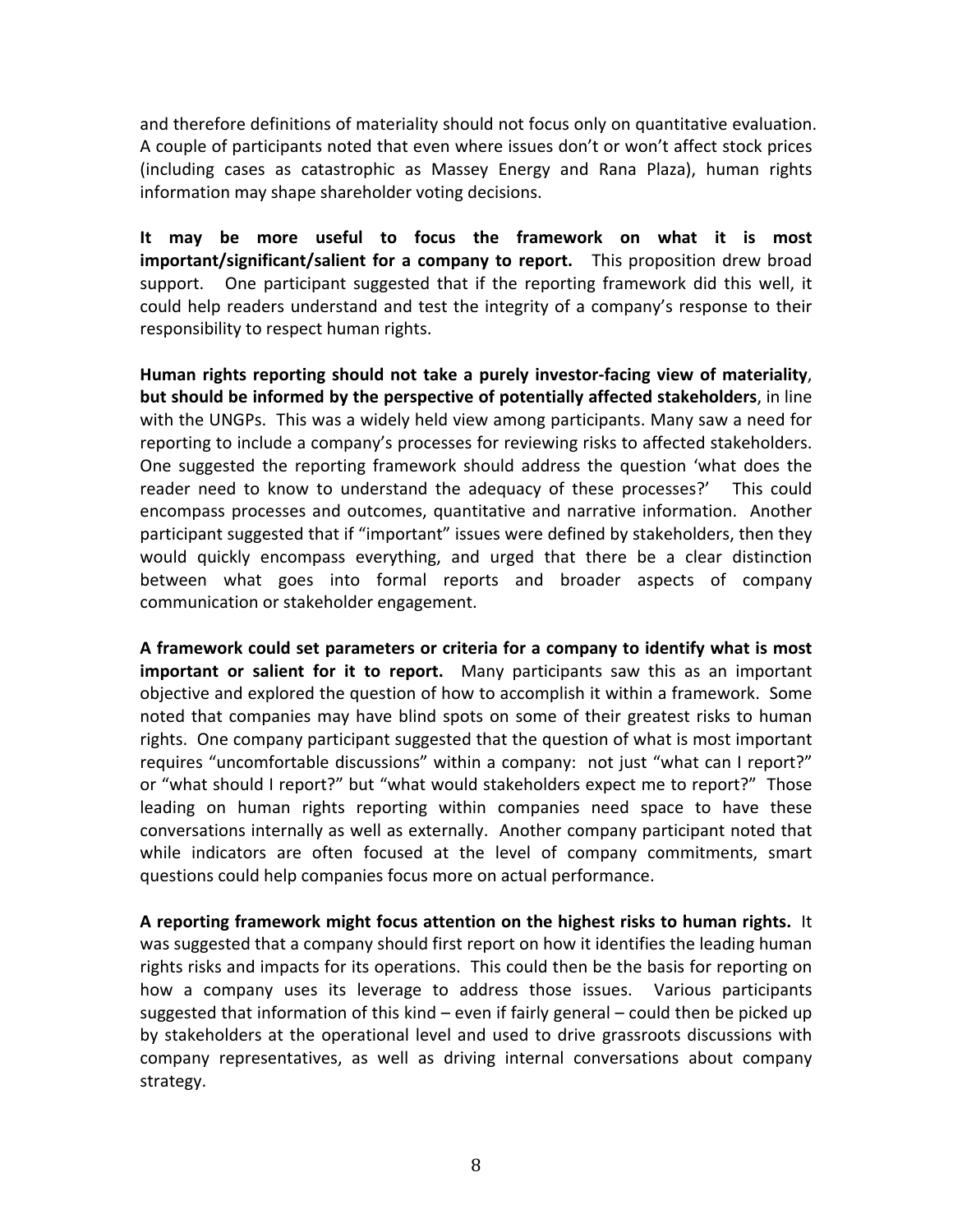and therefore definitions of materiality should not focus only on quantitative evaluation. A couple of participants noted that even where issues don't or won't affect stock prices (including cases as catastrophic as Massey Energy and Rana Plaza), human rights information may shape shareholder voting decisions.

It may be more useful to focus the framework on what it is most **important/significant/salient for a company to report.** This proposition drew broad support. One participant suggested that if the reporting framework did this well, it could help readers understand and test the integrity of a company's response to their responsibility to respect human rights.

Human rights reporting should not take a purely investor-facing view of materiality, **but should be informed by the perspective of potentially affected stakeholders, in line** with the UNGPs. This was a widely held view among participants. Many saw a need for reporting to include a company's processes for reviewing risks to affected stakeholders. One suggested the reporting framework should address the question 'what does the reader need to know to understand the adequacy of these processes?' This could encompass processes and outcomes, quantitative and narrative information. Another participant suggested that if "important" issues were defined by stakeholders, then they would quickly encompass everything, and urged that there be a clear distinction between what goes into formal reports and broader aspects of company communication or stakeholder engagement.

A framework could set parameters or criteria for a company to identify what is most **important or salient for it to report.** Many participants saw this as an important objective and explored the question of how to accomplish it within a framework. Some noted that companies may have blind spots on some of their greatest risks to human rights. One company participant suggested that the question of what is most important requires "uncomfortable discussions" within a company: not just "what can I report?" or "what should I report?" but "what would stakeholders expect me to report?" Those leading on human rights reporting within companies need space to have these conversations internally as well as externally. Another company participant noted that while indicators are often focused at the level of company commitments, smart questions could help companies focus more on actual performance.

A reporting framework might focus attention on the highest risks to human rights. It was suggested that a company should first report on how it identifies the leading human rights risks and impacts for its operations. This could then be the basis for reporting on how a company uses its leverage to address those issues. Various participants suggested that information of this kind – even if fairly general – could then be picked up by stakeholders at the operational level and used to drive grassroots discussions with company representatives, as well as driving internal conversations about company strategy.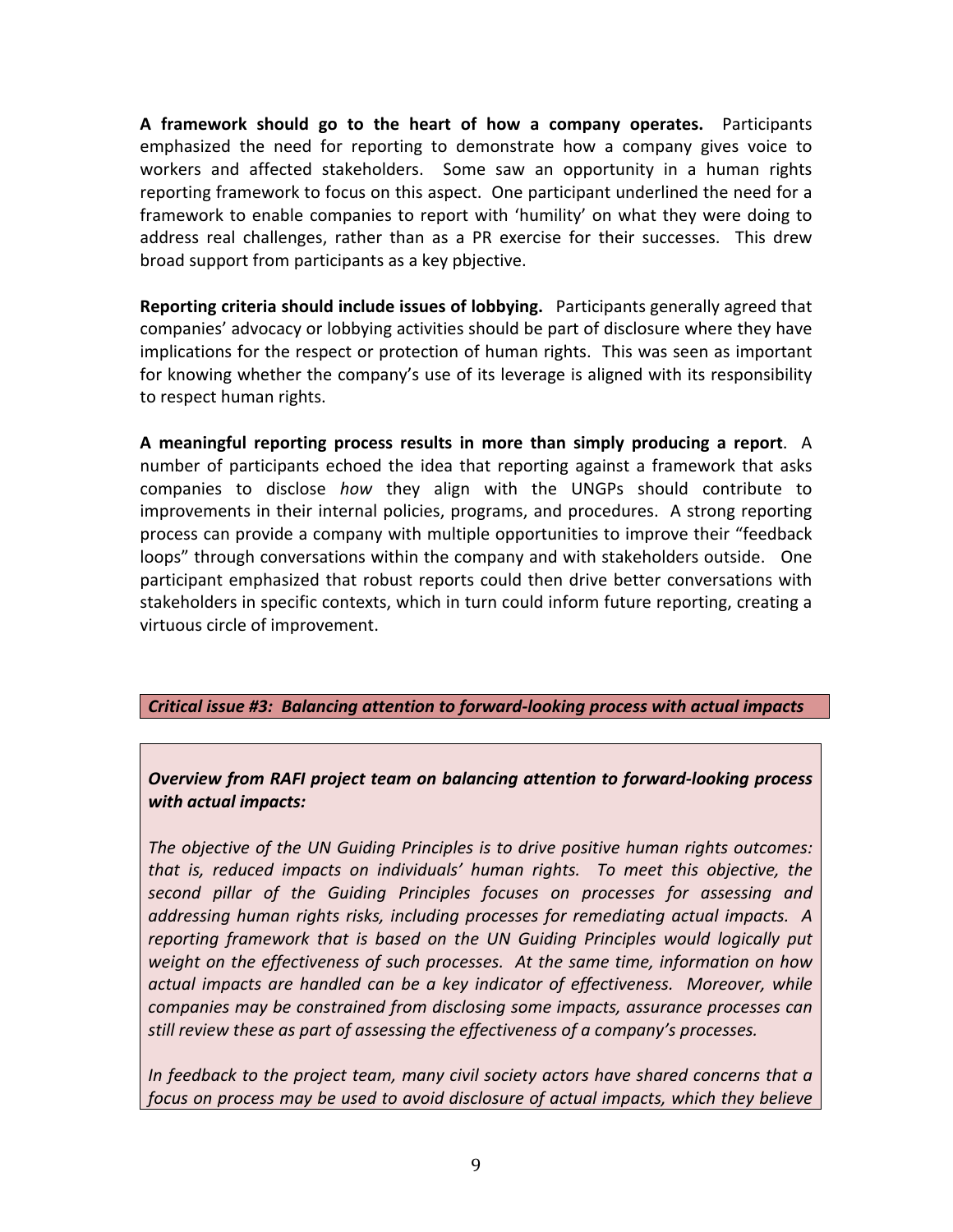**A framework should go to the heart of how a company operates.** Participants emphasized the need for reporting to demonstrate how a company gives voice to workers and affected stakeholders. Some saw an opportunity in a human rights reporting framework to focus on this aspect. One participant underlined the need for a framework to enable companies to report with 'humility' on what they were doing to address real challenges, rather than as a PR exercise for their successes. This drew broad support from participants as a key pbjective.

**Reporting criteria should include issues of lobbying.** Participants generally agreed that companies' advocacy or lobbying activities should be part of disclosure where they have implications for the respect or protection of human rights. This was seen as important for knowing whether the company's use of its leverage is aligned with its responsibility to respect human rights.

**A** meaningful reporting process results in more than simply producing a report. A number of participants echoed the idea that reporting against a framework that asks companies to disclose *how* they align with the UNGPs should contribute to improvements in their internal policies, programs, and procedures. A strong reporting process can provide a company with multiple opportunities to improve their "feedback loops" through conversations within the company and with stakeholders outside. One participant emphasized that robust reports could then drive better conversations with stakeholders in specific contexts, which in turn could inform future reporting, creating a virtuous circle of improvement.

## *Critical issue #3: Balancing attention to forward-looking process with actual impacts*

*Overview from RAFI project team on balancing attention to forward-looking process with actual impacts:*

The objective of the UN Guiding Principles is to drive positive human rights outcomes: *that is, reduced impacts on individuals' human rights.* To meet this objective, the *second pillar of the Guiding Principles focuses on processes for assessing and*  addressing human rights risks, including processes for remediating actual impacts. A *reporting framework that is based on the UN Guiding Principles would logically put weight* on the effectiveness of such processes. At the same time, information on how *actual impacts are handled can be a key indicator of effectiveness. Moreover, while companies may be constrained from disclosing some impacts, assurance processes can still review these as part of assessing the effectiveness of a company's processes.* 

*In* feedback to the project team, many civil society actors have shared concerns that a *focus* on process may be used to avoid disclosure of actual impacts, which they believe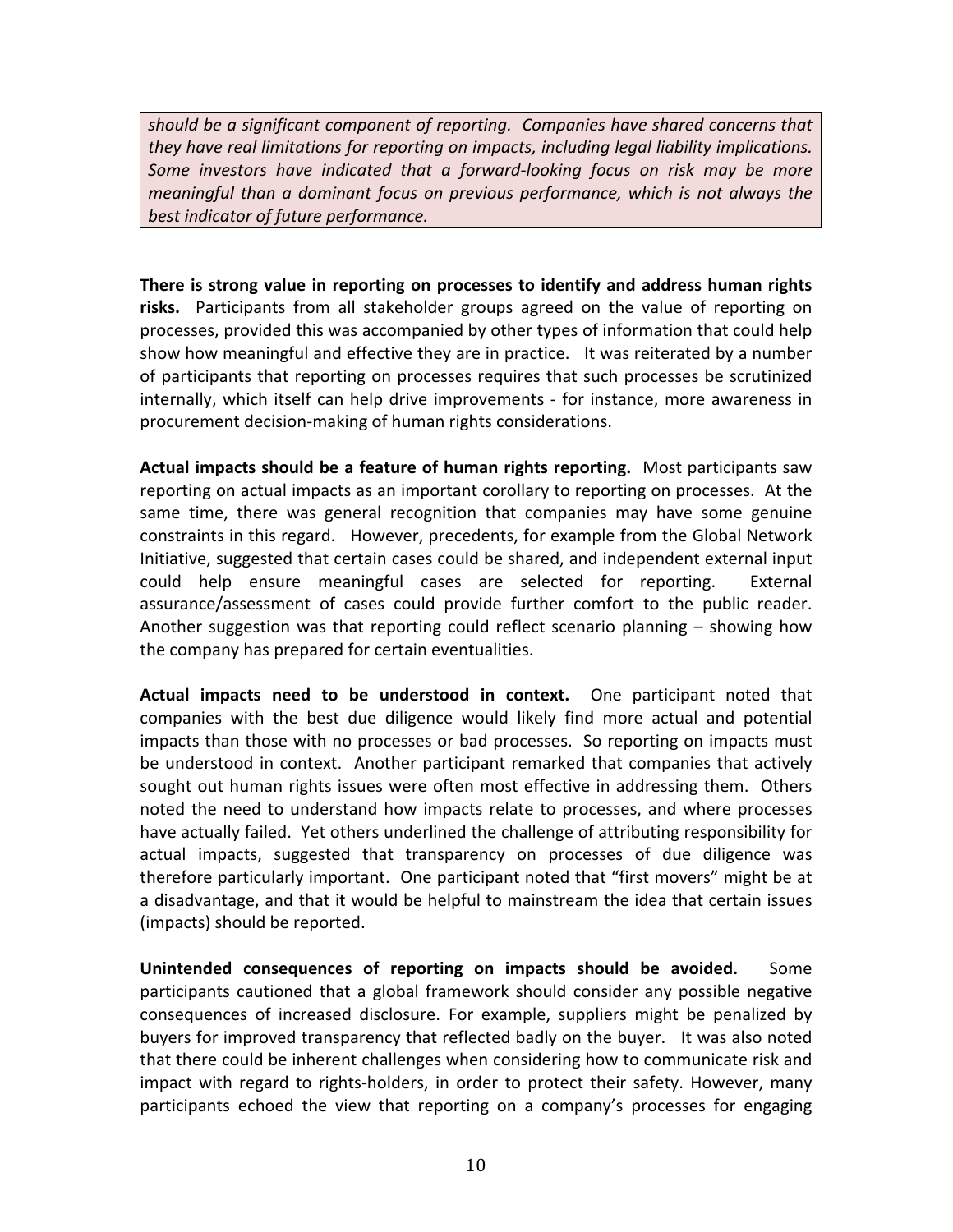*should be a significant component of reporting. Companies have shared concerns that they have real limitations for reporting on impacts, including legal liability implications.* Some investors have indicated that a forward-looking focus on risk may be more *meaningful* than a dominant focus on previous performance, which is not always the best indicator of future performance.

**There is strong value in reporting on processes to identify and address human rights** risks. Participants from all stakeholder groups agreed on the value of reporting on processes, provided this was accompanied by other types of information that could help show how meaningful and effective they are in practice. It was reiterated by a number of participants that reporting on processes requires that such processes be scrutinized internally, which itself can help drive improvements - for instance, more awareness in procurement decision-making of human rights considerations.

**Actual impacts should be a feature of human rights reporting.** Most participants saw reporting on actual impacts as an important corollary to reporting on processes. At the same time, there was general recognition that companies may have some genuine constraints in this regard. However, precedents, for example from the Global Network Initiative, suggested that certain cases could be shared, and independent external input could help ensure meaningful cases are selected for reporting. External assurance/assessment of cases could provide further comfort to the public reader. Another suggestion was that reporting could reflect scenario planning  $-$  showing how the company has prepared for certain eventualities.

**Actual impacts need to be understood in context.** One participant noted that companies with the best due diligence would likely find more actual and potential impacts than those with no processes or bad processes. So reporting on impacts must be understood in context. Another participant remarked that companies that actively sought out human rights issues were often most effective in addressing them. Others noted the need to understand how impacts relate to processes, and where processes have actually failed. Yet others underlined the challenge of attributing responsibility for actual impacts, suggested that transparency on processes of due diligence was therefore particularly important. One participant noted that "first movers" might be at a disadvantage, and that it would be helpful to mainstream the idea that certain issues (impacts) should be reported.

**Unintended consequences of reporting on impacts should be avoided.** Some participants cautioned that a global framework should consider any possible negative consequences of increased disclosure. For example, suppliers might be penalized by buyers for improved transparency that reflected badly on the buyer. It was also noted that there could be inherent challenges when considering how to communicate risk and impact with regard to rights-holders, in order to protect their safety. However, many participants echoed the view that reporting on a company's processes for engaging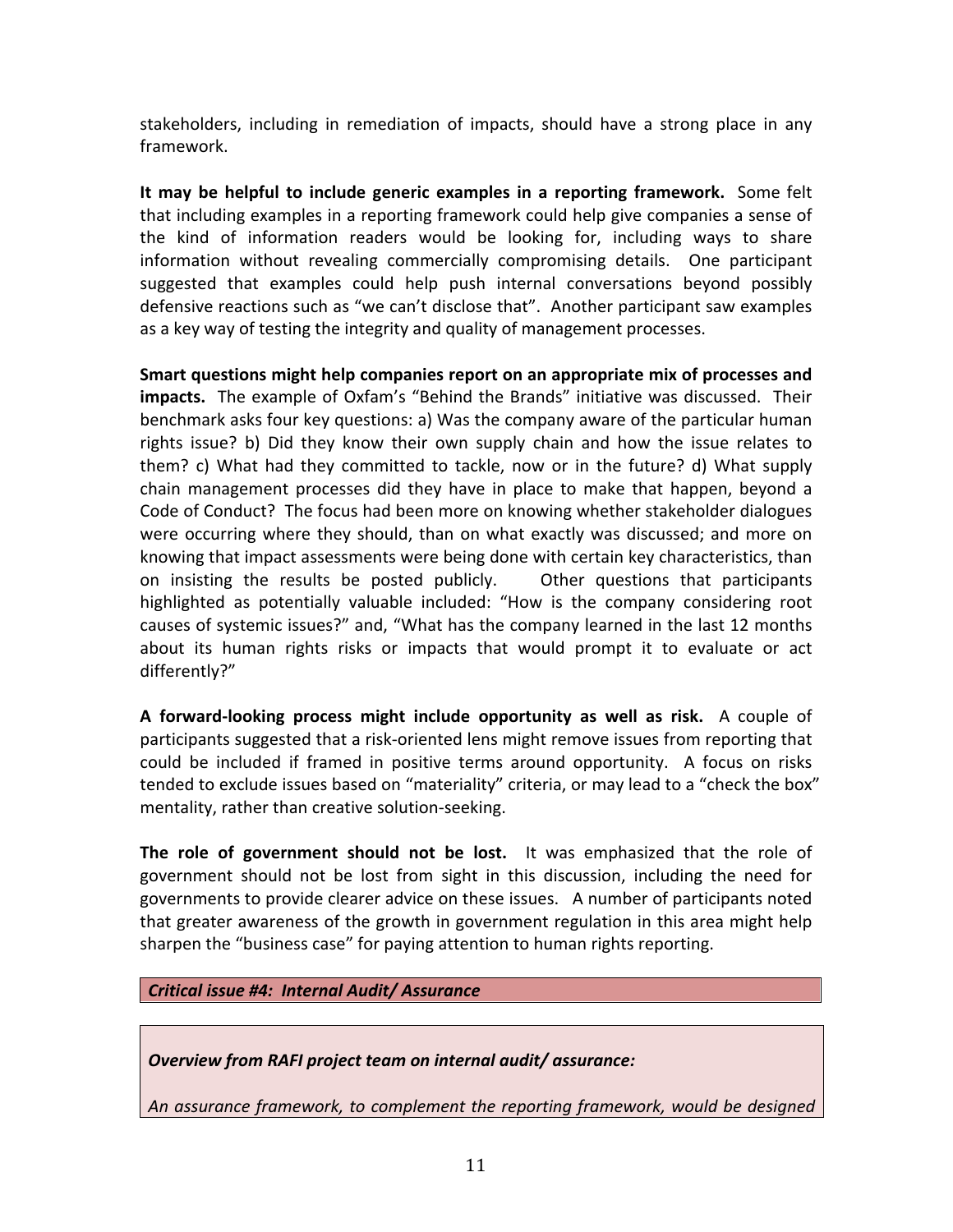stakeholders, including in remediation of impacts, should have a strong place in any framework. 

**It may be helpful to include generic examples in a reporting framework.** Some felt that including examples in a reporting framework could help give companies a sense of the kind of information readers would be looking for, including ways to share information without revealing commercially compromising details. One participant suggested that examples could help push internal conversations beyond possibly defensive reactions such as "we can't disclose that". Another participant saw examples as a key way of testing the integrity and quality of management processes.

**Smart questions might help companies report on an appropriate mix of processes and impacts.** The example of Oxfam's "Behind the Brands" initiative was discussed. Their benchmark asks four key questions: a) Was the company aware of the particular human rights issue? b) Did they know their own supply chain and how the issue relates to them? c) What had they committed to tackle, now or in the future? d) What supply chain management processes did they have in place to make that happen, beyond a Code of Conduct? The focus had been more on knowing whether stakeholder dialogues were occurring where they should, than on what exactly was discussed; and more on knowing that impact assessments were being done with certain key characteristics, than on insisting the results be posted publicly. Other questions that participants highlighted as potentially valuable included: "How is the company considering root causes of systemic issues?" and, "What has the company learned in the last 12 months about its human rights risks or impacts that would prompt it to evaluate or act differently?" 

**A** forward-looking process might include opportunity as well as risk. A couple of participants suggested that a risk-oriented lens might remove issues from reporting that could be included if framed in positive terms around opportunity. A focus on risks tended to exclude issues based on "materiality" criteria, or may lead to a "check the box" mentality, rather than creative solution-seeking.

The role of government should not be lost. It was emphasized that the role of government should not be lost from sight in this discussion, including the need for governments to provide clearer advice on these issues. A number of participants noted that greater awareness of the growth in government regulation in this area might help sharpen the "business case" for paying attention to human rights reporting.

*Critical issue #4: Internal Audit/ Assurance*

*Overview from RAFI project team on internal audit/ assurance:*

An assurance framework, to complement the reporting framework, would be designed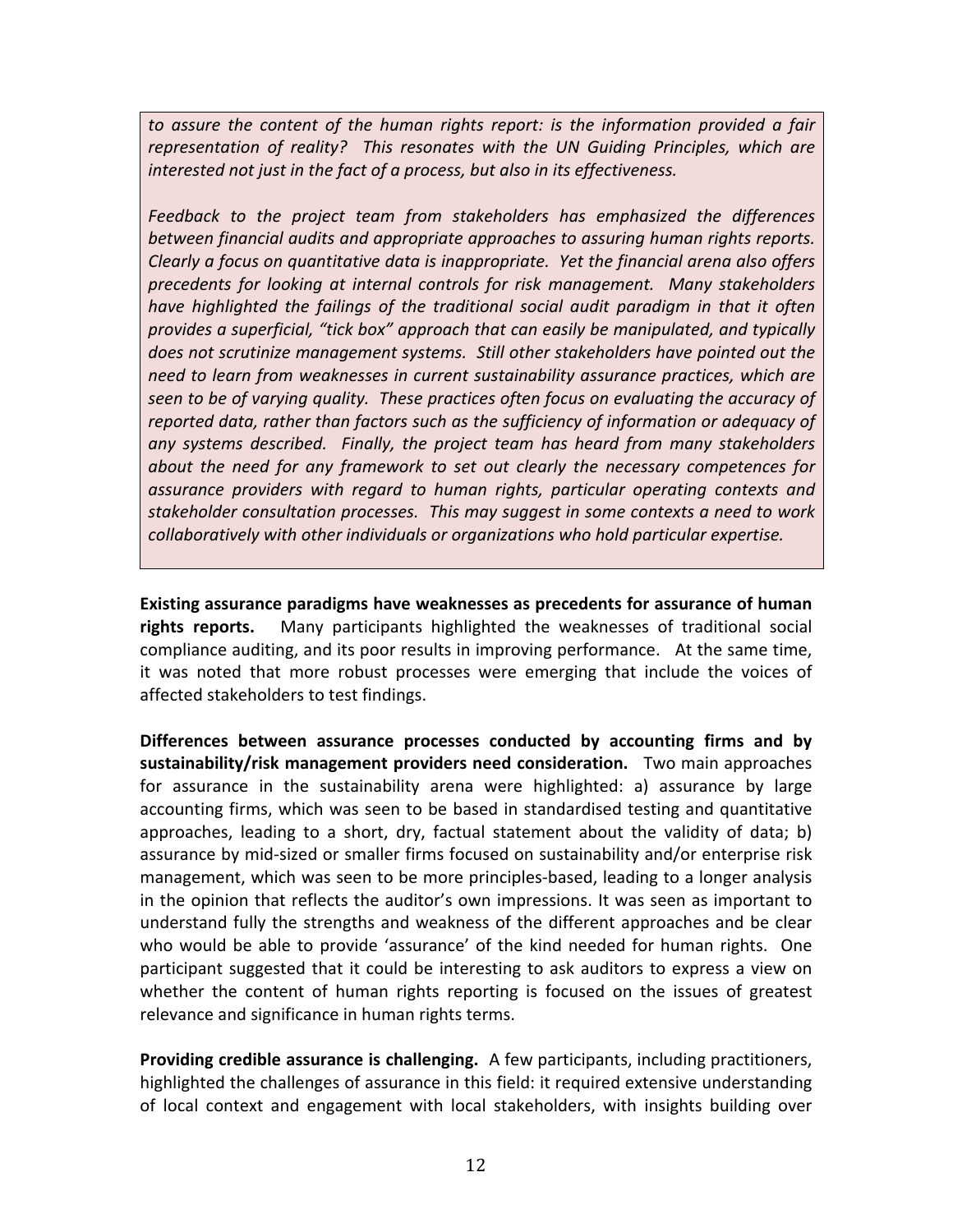to assure the content of the human rights report: is the information provided a fair representation of reality? This resonates with the UN Guiding Principles, which are *interested not just in the fact of a process, but also in its effectiveness.* 

Feedback to the project team from stakeholders has emphasized the differences between financial audits and appropriate approaches to assuring human rights reports. *Clearly* a focus on quantitative data is inappropriate. Yet the financial arena also offers *precedents for looking at internal controls for risk management. Many stakeholders have highlighted the failings of the traditional social audit paradigm in that it often provides a superficial, "tick box" approach that can easily be manipulated, and typically does not scrutinize management systems. Still other stakeholders have pointed out the* need to learn from weaknesses in current sustainability assurance practices, which are *seen to be of varying quality. These practices often focus on evaluating the accuracy of reported data, rather than factors such as the sufficiency of information or adequacy of* any systems described. Finally, the project team has heard from many stakeholders *about* the need for any framework to set out clearly the necessary competences for *assurance providers with regard to human rights, particular operating contexts and*  stakeholder consultation processes. This may suggest in some contexts a need to work *collaboratively* with other individuals or organizations who hold particular expertise.

**Existing assurance paradigms have weaknesses as precedents for assurance of human rights reports.** Many participants highlighted the weaknesses of traditional social compliance auditing, and its poor results in improving performance. At the same time, it was noted that more robust processes were emerging that include the voices of affected stakeholders to test findings.

Differences between assurance processes conducted by accounting firms and by **sustainability/risk management providers need consideration.** Two main approaches for assurance in the sustainability arena were highlighted: a) assurance by large accounting firms, which was seen to be based in standardised testing and quantitative approaches, leading to a short, dry, factual statement about the validity of data; b) assurance by mid-sized or smaller firms focused on sustainability and/or enterprise risk management, which was seen to be more principles-based, leading to a longer analysis in the opinion that reflects the auditor's own impressions. It was seen as important to understand fully the strengths and weakness of the different approaches and be clear who would be able to provide 'assurance' of the kind needed for human rights. One participant suggested that it could be interesting to ask auditors to express a view on whether the content of human rights reporting is focused on the issues of greatest relevance and significance in human rights terms.

**Providing credible assurance is challenging.** A few participants, including practitioners, highlighted the challenges of assurance in this field: it required extensive understanding of local context and engagement with local stakeholders, with insights building over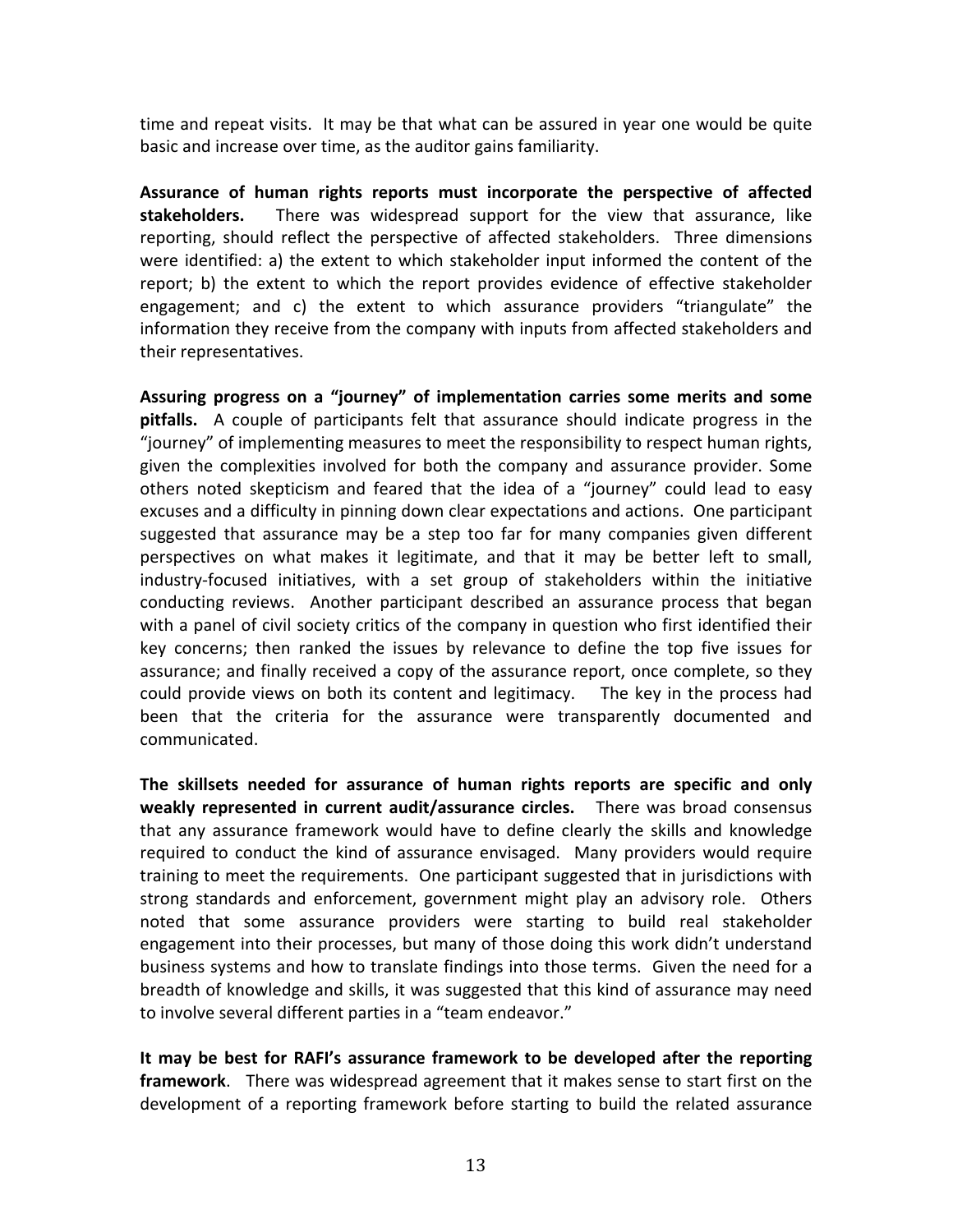time and repeat visits. It may be that what can be assured in year one would be quite basic and increase over time, as the auditor gains familiarity.

Assurance of human rights reports must incorporate the perspective of affected stakeholders. There was widespread support for the view that assurance, like reporting, should reflect the perspective of affected stakeholders. Three dimensions were identified: a) the extent to which stakeholder input informed the content of the report; b) the extent to which the report provides evidence of effective stakeholder engagement; and c) the extent to which assurance providers "triangulate" the information they receive from the company with inputs from affected stakeholders and their representatives.

Assuring progress on a "journey" of implementation carries some merits and some **pitfalls.** A couple of participants felt that assurance should indicate progress in the "journey" of implementing measures to meet the responsibility to respect human rights, given the complexities involved for both the company and assurance provider. Some others noted skepticism and feared that the idea of a "journey" could lead to easy excuses and a difficulty in pinning down clear expectations and actions. One participant suggested that assurance may be a step too far for many companies given different perspectives on what makes it legitimate, and that it may be better left to small, industry-focused initiatives, with a set group of stakeholders within the initiative conducting reviews. Another participant described an assurance process that began with a panel of civil society critics of the company in question who first identified their key concerns; then ranked the issues by relevance to define the top five issues for assurance; and finally received a copy of the assurance report, once complete, so they could provide views on both its content and legitimacy. The key in the process had been that the criteria for the assurance were transparently documented and communicated. 

**The skillsets needed for assurance of human rights reports are specific and only weakly represented in current audit/assurance circles.** There was broad consensus that any assurance framework would have to define clearly the skills and knowledge required to conduct the kind of assurance envisaged. Many providers would require training to meet the requirements. One participant suggested that in jurisdictions with strong standards and enforcement, government might play an advisory role. Others noted that some assurance providers were starting to build real stakeholder engagement into their processes, but many of those doing this work didn't understand business systems and how to translate findings into those terms. Given the need for a breadth of knowledge and skills, it was suggested that this kind of assurance may need to involve several different parties in a "team endeavor."

It may be best for RAFI's assurance framework to be developed after the reporting **framework**. There was widespread agreement that it makes sense to start first on the development of a reporting framework before starting to build the related assurance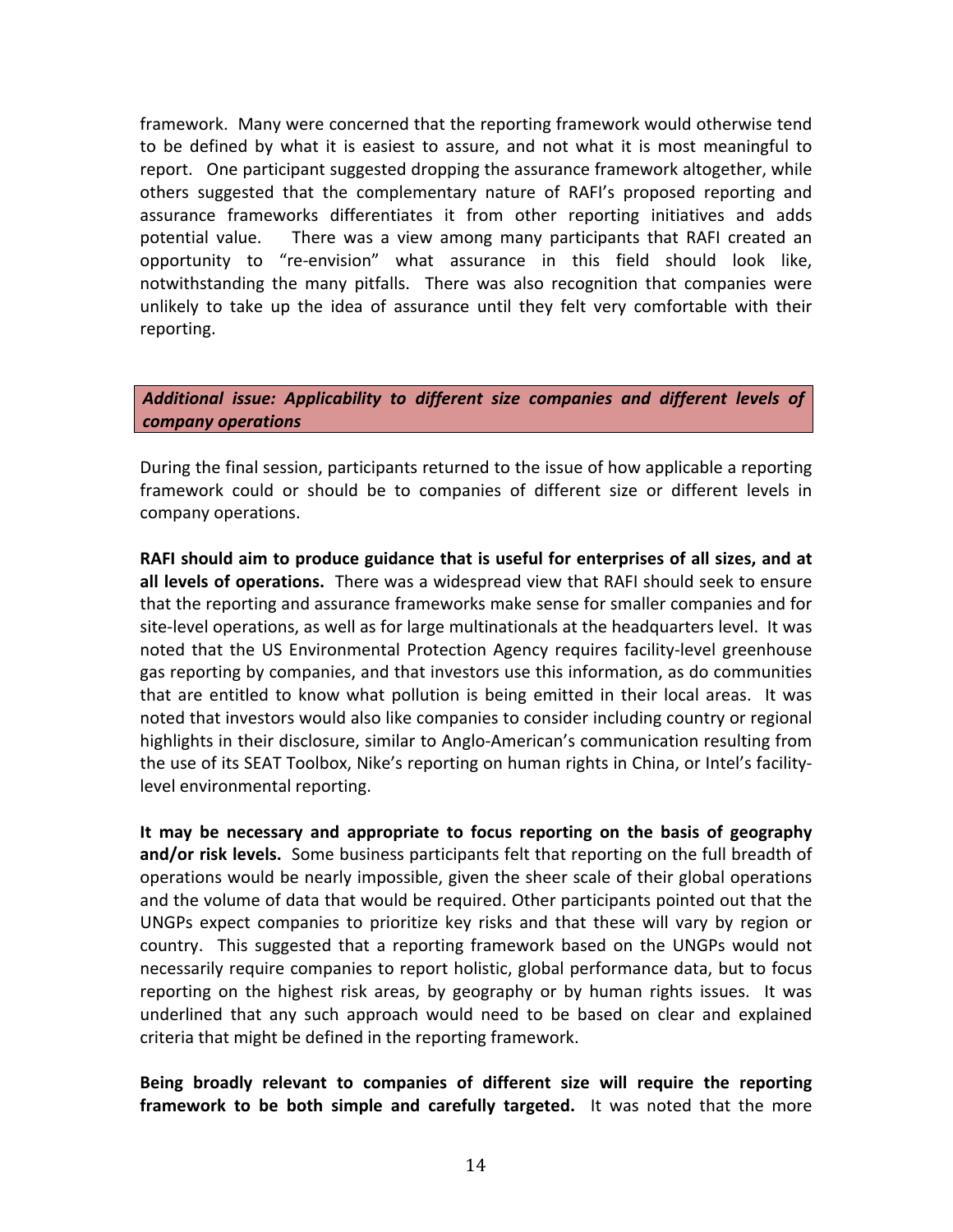framework. Many were concerned that the reporting framework would otherwise tend to be defined by what it is easiest to assure, and not what it is most meaningful to report. One participant suggested dropping the assurance framework altogether, while others suggested that the complementary nature of RAFI's proposed reporting and assurance frameworks differentiates it from other reporting initiatives and adds potential value. There was a view among many participants that RAFI created an opportunity to "re-envision" what assurance in this field should look like, notwithstanding the many pitfalls. There was also recognition that companies were unlikely to take up the idea of assurance until they felt very comfortable with their reporting. 

### Additional issue: Applicability to different size companies and different levels of *company operations*

During the final session, participants returned to the issue of how applicable a reporting framework could or should be to companies of different size or different levels in company operations. 

RAFI should aim to produce guidance that is useful for enterprises of all sizes, and at all levels of operations. There was a widespread view that RAFI should seek to ensure that the reporting and assurance frameworks make sense for smaller companies and for site-level operations, as well as for large multinationals at the headquarters level. It was noted that the US Environmental Protection Agency requires facility-level greenhouse gas reporting by companies, and that investors use this information, as do communities that are entitled to know what pollution is being emitted in their local areas. It was noted that investors would also like companies to consider including country or regional highlights in their disclosure, similar to Anglo-American's communication resulting from the use of its SEAT Toolbox, Nike's reporting on human rights in China, or Intel's facilitylevel environmental reporting.

It may be necessary and appropriate to focus reporting on the basis of geography and/or risk levels. Some business participants felt that reporting on the full breadth of operations would be nearly impossible, given the sheer scale of their global operations and the volume of data that would be required. Other participants pointed out that the UNGPs expect companies to prioritize key risks and that these will vary by region or country. This suggested that a reporting framework based on the UNGPs would not necessarily require companies to report holistic, global performance data, but to focus reporting on the highest risk areas, by geography or by human rights issues. It was underlined that any such approach would need to be based on clear and explained criteria that might be defined in the reporting framework.

Being broadly relevant to companies of different size will require the reporting **framework to be both simple and carefully targeted.** It was noted that the more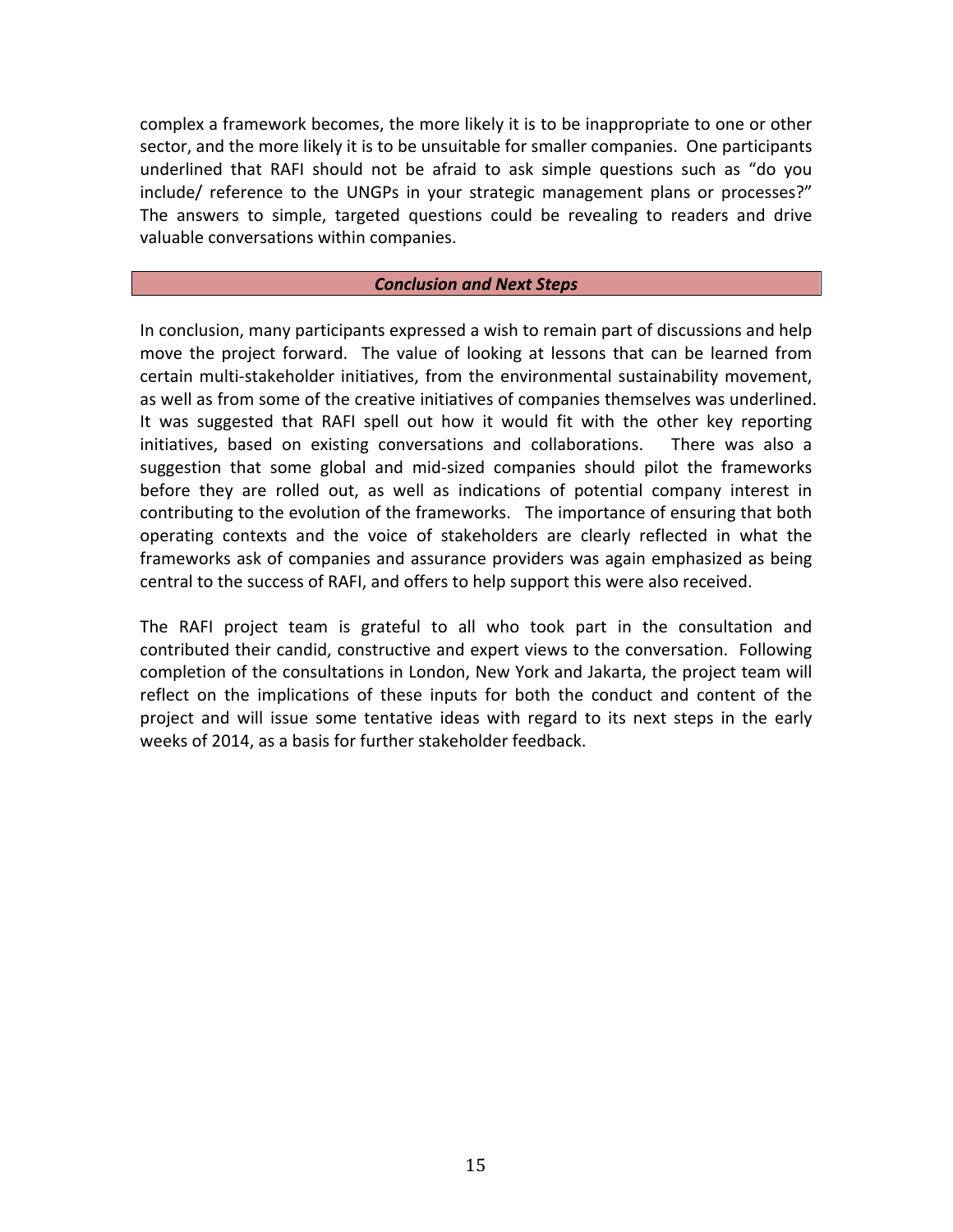complex a framework becomes, the more likely it is to be inappropriate to one or other sector, and the more likely it is to be unsuitable for smaller companies. One participants underlined that RAFI should not be afraid to ask simple questions such as "do you include/ reference to the UNGPs in your strategic management plans or processes?" The answers to simple, targeted questions could be revealing to readers and drive valuable conversations within companies.

#### *Conclusion and Next Steps*

In conclusion, many participants expressed a wish to remain part of discussions and help move the project forward. The value of looking at lessons that can be learned from certain multi-stakeholder initiatives, from the environmental sustainability movement, as well as from some of the creative initiatives of companies themselves was underlined. It was suggested that RAFI spell out how it would fit with the other key reporting initiatives, based on existing conversations and collaborations. There was also a suggestion that some global and mid-sized companies should pilot the frameworks before they are rolled out, as well as indications of potential company interest in contributing to the evolution of the frameworks. The importance of ensuring that both operating contexts and the voice of stakeholders are clearly reflected in what the frameworks ask of companies and assurance providers was again emphasized as being central to the success of RAFI, and offers to help support this were also received.

The RAFI project team is grateful to all who took part in the consultation and contributed their candid, constructive and expert views to the conversation. Following completion of the consultations in London, New York and Jakarta, the project team will reflect on the implications of these inputs for both the conduct and content of the project and will issue some tentative ideas with regard to its next steps in the early weeks of 2014, as a basis for further stakeholder feedback.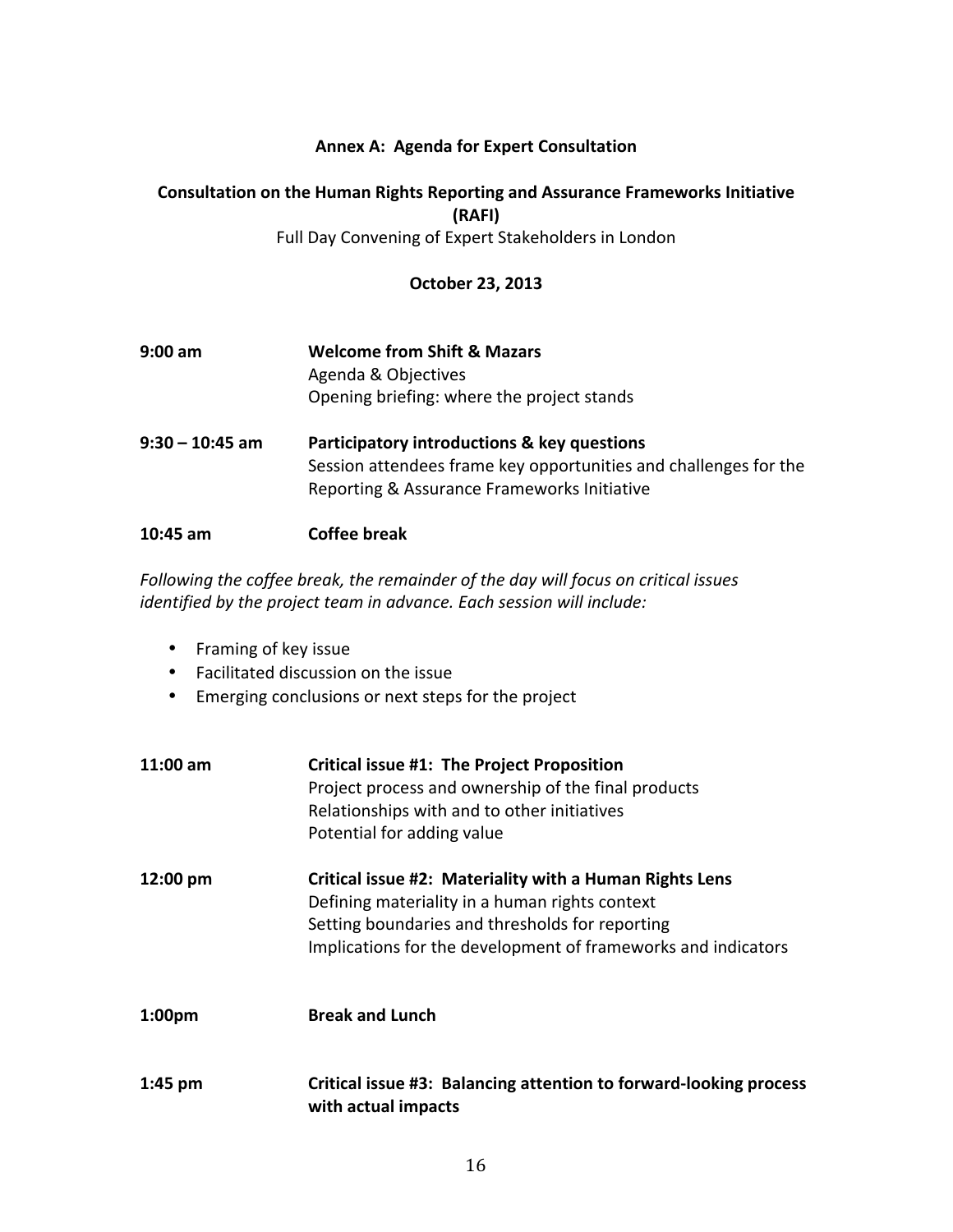### **Annex A: Agenda for Expert Consultation**

### **Consultation on the Human Rights Reporting and Assurance Frameworks Initiative (RAFI)**

Full Day Convening of Expert Stakeholders in London

### **October 23, 2013**

| 9:00 am | <b>Welcome from Shift &amp; Mazars</b>     |
|---------|--------------------------------------------|
|         | Agenda & Objectives                        |
|         | Opening briefing: where the project stands |
|         |                                            |

**9:30 – 10:45 am Participatory introductions & key questions** Session attendees frame key opportunities and challenges for the Reporting & Assurance Frameworks Initiative

#### **10:45 am Coffee break**

Following the coffee break, the remainder of the day will focus on critical issues *identified by the project team in advance. Each session will include:* 

- Framing of key issue
- Facilitated discussion on the issue
- Emerging conclusions or next steps for the project

| $11:00 \text{ am}$ | <b>Critical issue #1: The Project Proposition</b><br>Project process and ownership of the final products<br>Relationships with and to other initiatives<br>Potential for adding value                                         |
|--------------------|-------------------------------------------------------------------------------------------------------------------------------------------------------------------------------------------------------------------------------|
| 12:00 pm           | Critical issue #2: Materiality with a Human Rights Lens<br>Defining materiality in a human rights context<br>Setting boundaries and thresholds for reporting<br>Implications for the development of frameworks and indicators |
| 1:00 <sub>pm</sub> | <b>Break and Lunch</b>                                                                                                                                                                                                        |
| $1:45$ pm          | Critical issue #3: Balancing attention to forward-looking process<br>with actual impacts                                                                                                                                      |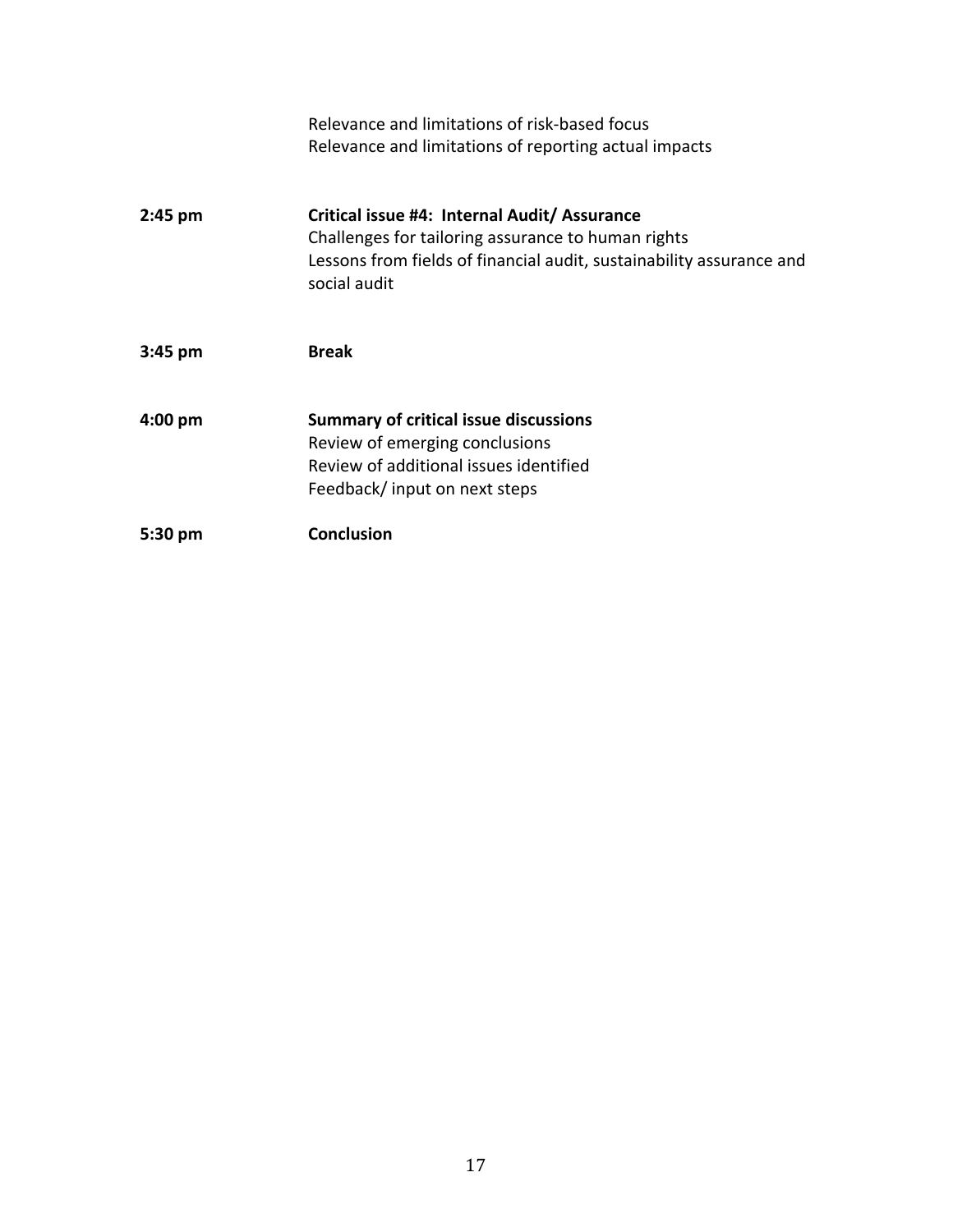|           | Relevance and limitations of risk-based focus<br>Relevance and limitations of reporting actual impacts                                                                                     |
|-----------|--------------------------------------------------------------------------------------------------------------------------------------------------------------------------------------------|
| $2:45$ pm | Critical issue #4: Internal Audit/ Assurance<br>Challenges for tailoring assurance to human rights<br>Lessons from fields of financial audit, sustainability assurance and<br>social audit |
| $3:45$ pm | <b>Break</b>                                                                                                                                                                               |
| $4:00$ pm | <b>Summary of critical issue discussions</b><br>Review of emerging conclusions<br>Review of additional issues identified<br>Feedback/ input on next steps                                  |
| 5:30 pm   | <b>Conclusion</b>                                                                                                                                                                          |